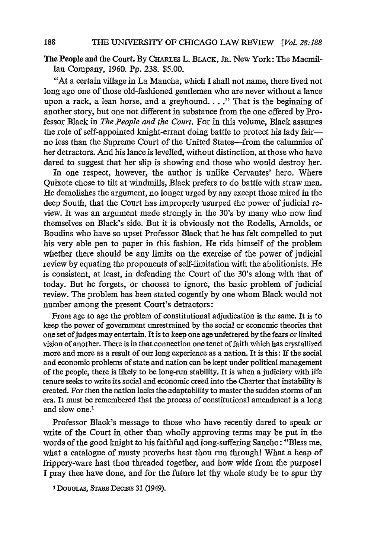The People and the Court. By CHARLEs L. BLACK, **JR.** New York: The Macmil-Ian Company, 1960. Pp. 238. \$5.00.

"At a certain village in La Mancha, which I shall not name, there lived not long ago one of those old-fashioned gentlemen who are never without a lance upon a rack, a lean horse, and a greyhound.... **."** That is the beginning of another story, but one not different in substance from the one offered by Professor Black in *The People and the Court.* For in this volume, Black assumes the role of self-appointed knight-errant doing battle to protect his lady fairno less than the Supreme Court of the United States-from the calumnies of her detractors. And his lance is levelled, without distinction, at those who have dared to suggest that her slip is showing and those who would destroy her.

In one respect, however, the author is unlike Cervantes' hero. Where Quixote chose to tilt at windmills, Black prefers to do battle with straw men. He demolishes the argument, no longer urged by any except those mired in the deep South, that the Court has improperly usurped the power of judicial review. It was an argument made strongly in the 30's by many who now find themselves on Black's side. But it is obviously not the Rodells, Arnolds, or Boudins who have so upset Professor Black that he has felt compelled to put his very able pen to paper in this fashion. He rids himself of the problem whether there should be any limits on the exercise of the power of judicial review by equating the proponents of self-limitation with the abolitionists. He is consistent, at least, in defending the Court of the 30's along with that of today. But he forgets, or chooses to ignore, the basic problem of judicial review. The problem has been stated cogently by one whom Black would not number among the present Court's detractors:

From age to age the problem of constitutional adjudication is the same. It is to keep the power of government unrestrained by the social or economic theories that one set of judges may entertain. It is to keep one age unfettered by the fears or limited vision of another. There is in that connection one tenet of faith which has crystallized more and more as a result of our long experience as a nation. It is this: If the social and economic problems of state and nation can be kept under political management of the people, there is likely to be long-run stability. It is when a judiciary with life tenure seeks to write its social and economic creed into the Charter that instability is created. For then the nation lacks the adaptability to master the sudden storms of an era. It must be remembered that the process of constitutional amendment is a long and slow one.'

Professor Black's message to those who have recently dared to speak or write of the Court in other than wholly approving terms may be put in the words of the good knight to his faithful and long-suffering Sancho: "Bless me, what a catalogue of musty proverbs hast thou run through! What a heap of frippery-ware hast thou threaded together, and how wide from the purpose! I pray thee have done, and for the future let thy whole study be to spur thy

**I DOUGLAs,** STARE DEcisis **31** (1949).